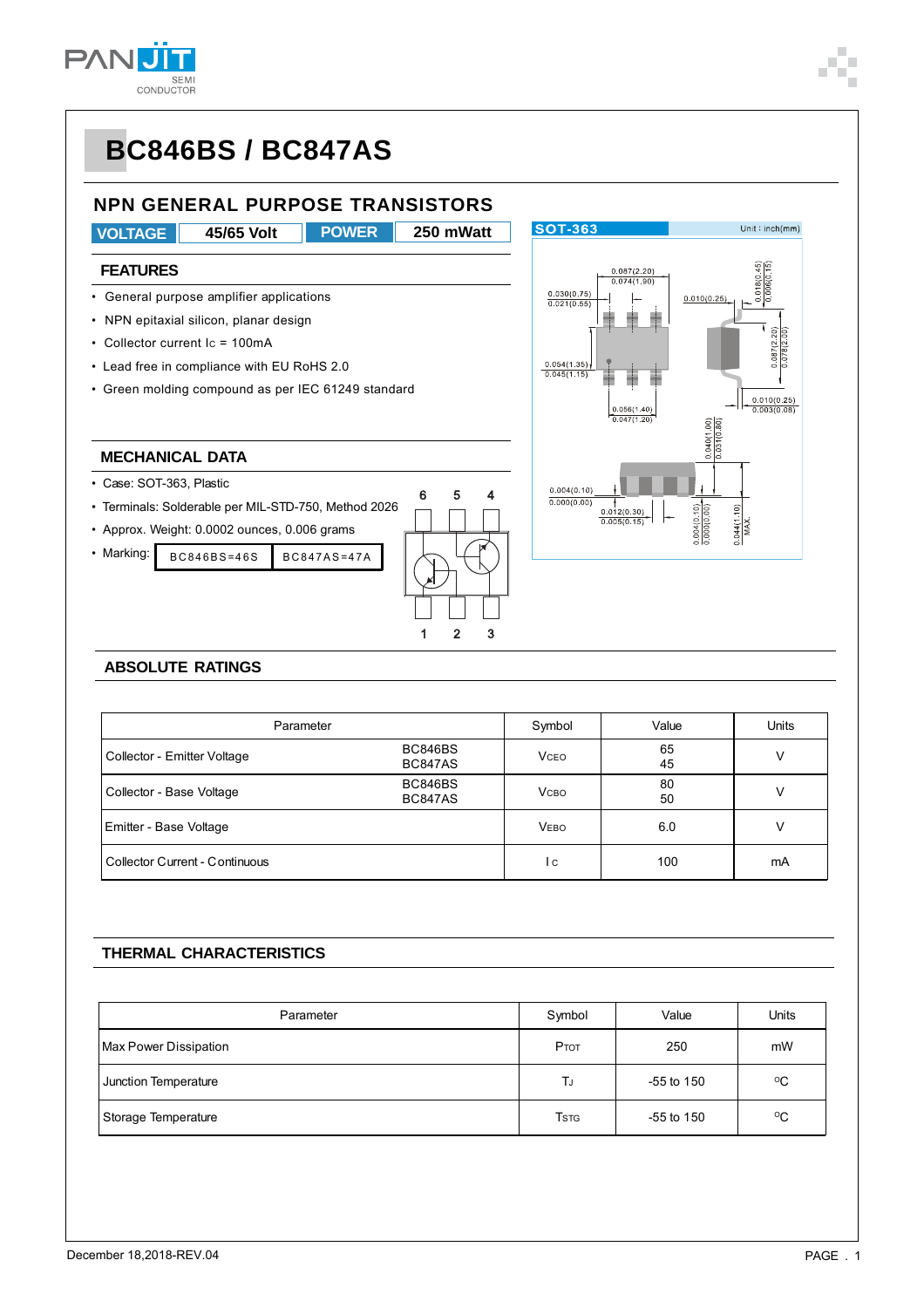



#### **ABSOLUTE RATINGS**

| Parameter                      | Symbol                    | Value        | Units    |    |
|--------------------------------|---------------------------|--------------|----------|----|
| Collector - Emitter Voltage    | BC846BS<br>BC847AS        | <b>VCEO</b>  | 65<br>45 | v  |
| Collector - Base Voltage       | BC846BS<br><b>BC847AS</b> | <b>V</b> сво | 80<br>50 |    |
| Emitter - Base Voltage         |                           | <b>VEBO</b>  | 6.0      | v  |
| Collector Current - Continuous |                           | l c          | 100      | mA |

#### **THERMAL CHARACTERISTICS**

| Parameter             | Symbol                               | Value          | Units       |  |
|-----------------------|--------------------------------------|----------------|-------------|--|
| Max Power Dissipation | PTOT                                 | 250            | mW          |  |
| Junction Temperature  | TJ                                   | $-55$ to $150$ | $\rm ^{o}C$ |  |
| Storage Temperature   | <b>T</b> <sub>S</sub> T <sub>G</sub> | $-55$ to $150$ | $\rm ^{o}C$ |  |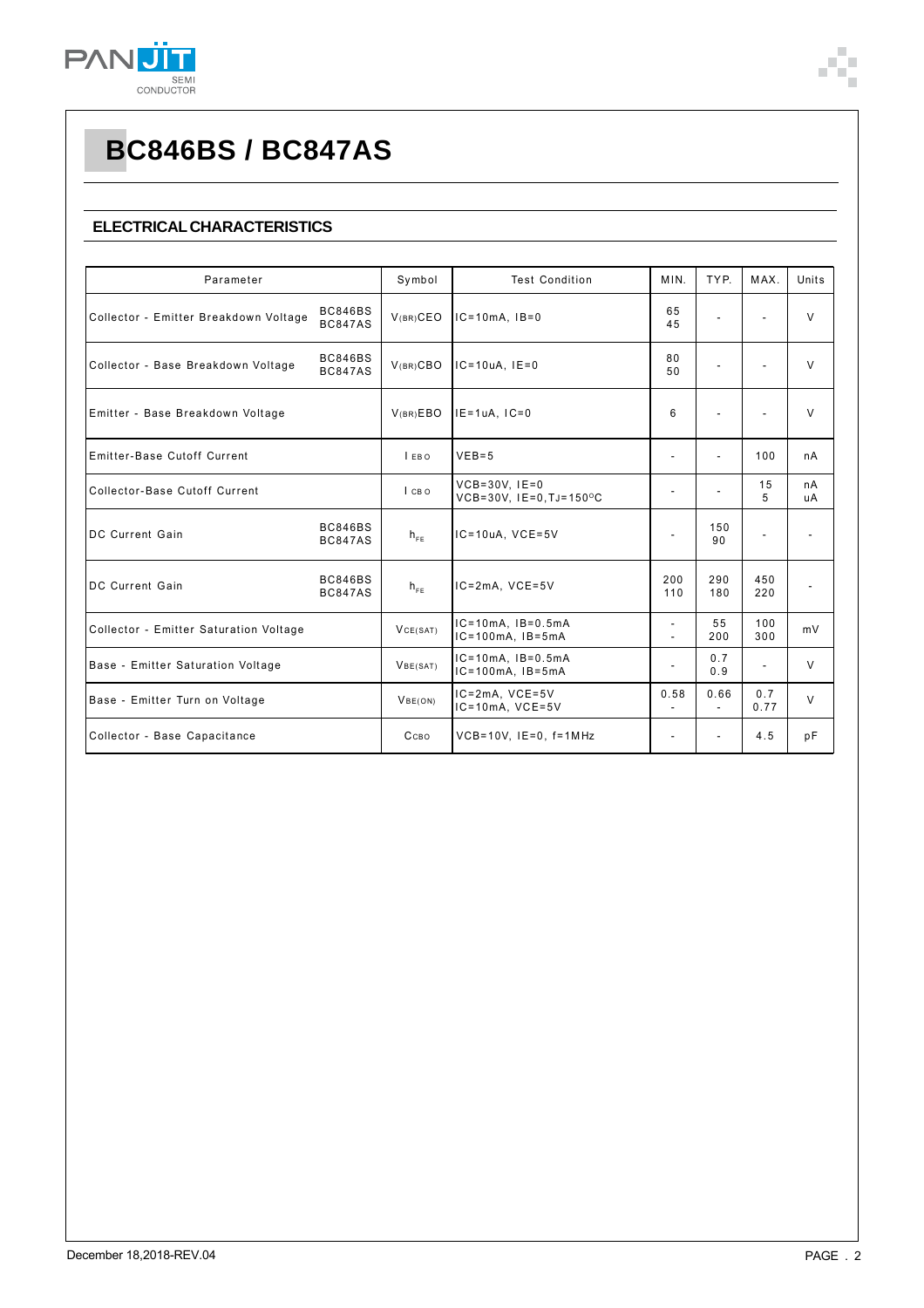

### **ELECTRICAL CHARACTERISTICS**

| Parameter                                                                 |                           | Symbol   | <b>Test Condition</b>                             | MIN.                     | TYP.       | MAX.                     | Units    |
|---------------------------------------------------------------------------|---------------------------|----------|---------------------------------------------------|--------------------------|------------|--------------------------|----------|
| <b>BC846BS</b><br>Collector - Emitter Breakdown Voltage<br><b>BC847AS</b> |                           | V(BR)CEO | $IC=10mA$ , $IB=0$                                | 65<br>45                 | ÷,         |                          | V        |
| Collector - Base Breakdown Voltage                                        | BC846BS<br><b>BC847AS</b> | V(BR)CBO | $IC=10uA, IE=0$                                   | 80<br>50                 |            |                          | $\vee$   |
| Emitter - Base Breakdown Voltage                                          |                           | V(BR)EBO | $IE=1uA, IC=0$                                    | 6                        | ÷,         | $\overline{\phantom{a}}$ | $\vee$   |
| Emitter-Base Cutoff Current                                               |                           | LEBO     | $VEB=5$                                           |                          |            | 100                      | nA       |
| Collector-Base Cutoff Current                                             |                           | I CBO    | $VCB = 30V$ , $IE = 0$<br>VCB=30V, IE=0, TJ=150°C | ٠                        |            | 15<br>5                  | nA<br>uA |
| DC Current Gain                                                           | BC846BS<br><b>BC847AS</b> | $h_{FE}$ | IC=10uA, VCE=5V                                   |                          | 150<br>90  | $\overline{a}$           |          |
| DC Current Gain                                                           | BC846BS<br><b>BC847AS</b> | $h_{FF}$ | IC=2mA, VCE=5V                                    | 200<br>110               | 290<br>180 | 450<br>220               | ٠        |
| Collector - Emitter Saturation Voltage                                    |                           | VCE(SAT) | $IC=10mA$ , $IB=0.5mA$<br>$IC=100mA$ , $IB=5mA$   | ÷                        | 55<br>200  | 100<br>300               | mV       |
| Base - Emitter Saturation Voltage                                         |                           | VBE(SAT) | $IC=10mA$ , $IB=0.5mA$<br>$IC=100mA$ , $IB=5mA$   | $\overline{\phantom{a}}$ | 0.7<br>0.9 | $\overline{\phantom{a}}$ | $\vee$   |
| Base - Emitter Turn on Voltage                                            |                           | VBE(ON)  | IC=2mA, VCE=5V<br>$IC=10mA$ , $VCE=5V$            | 0.58<br>٠                | 0.66<br>÷. | 0.7<br>0.77              | $\vee$   |
| Collector - Base Capacitance                                              |                           | Ссво     | $VCB=10V$ , $IE=0$ , $f=1MHz$                     |                          |            | 4.5                      | pF       |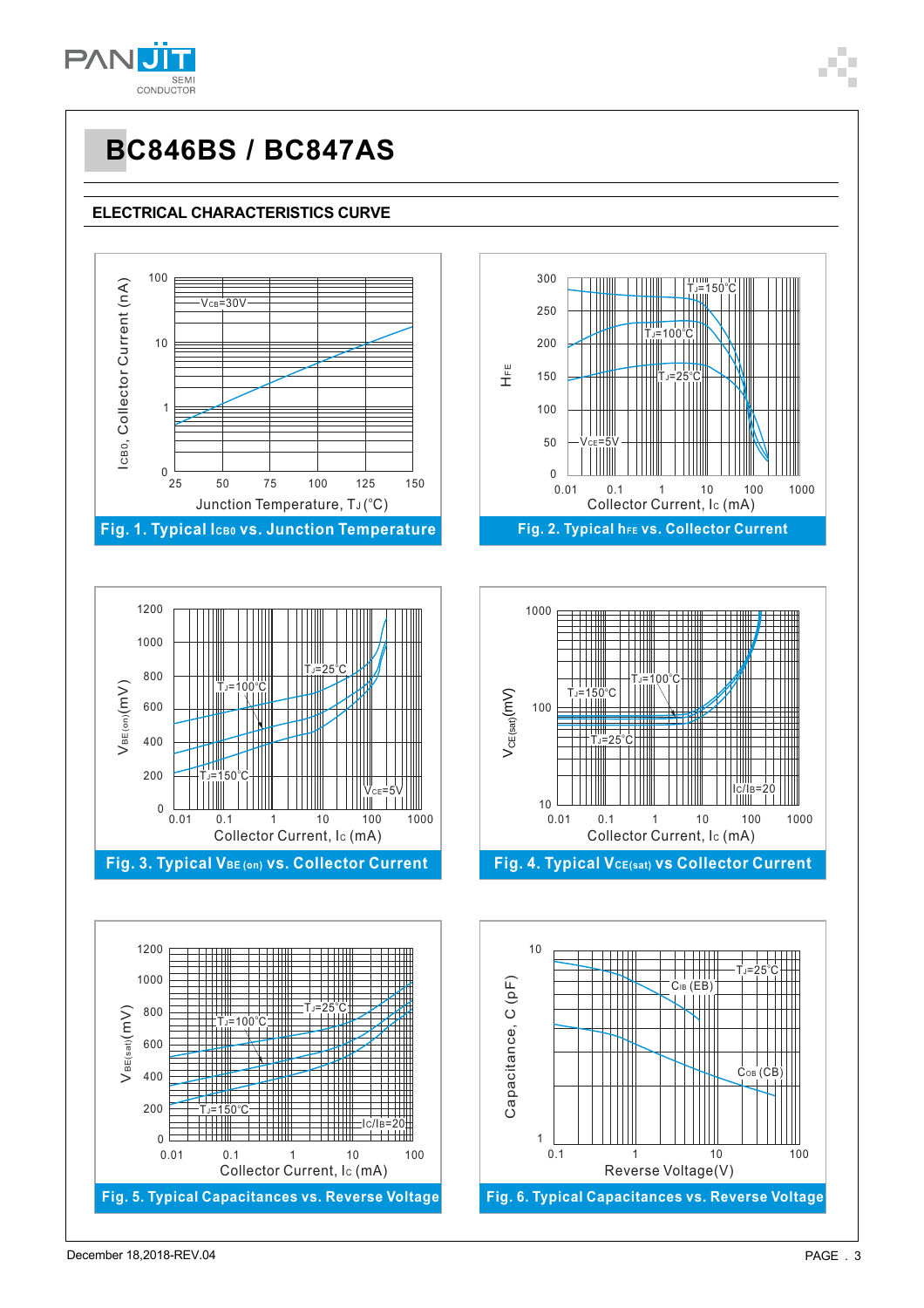

### **ELECTRICAL CHARACTERISTICS CURVE**

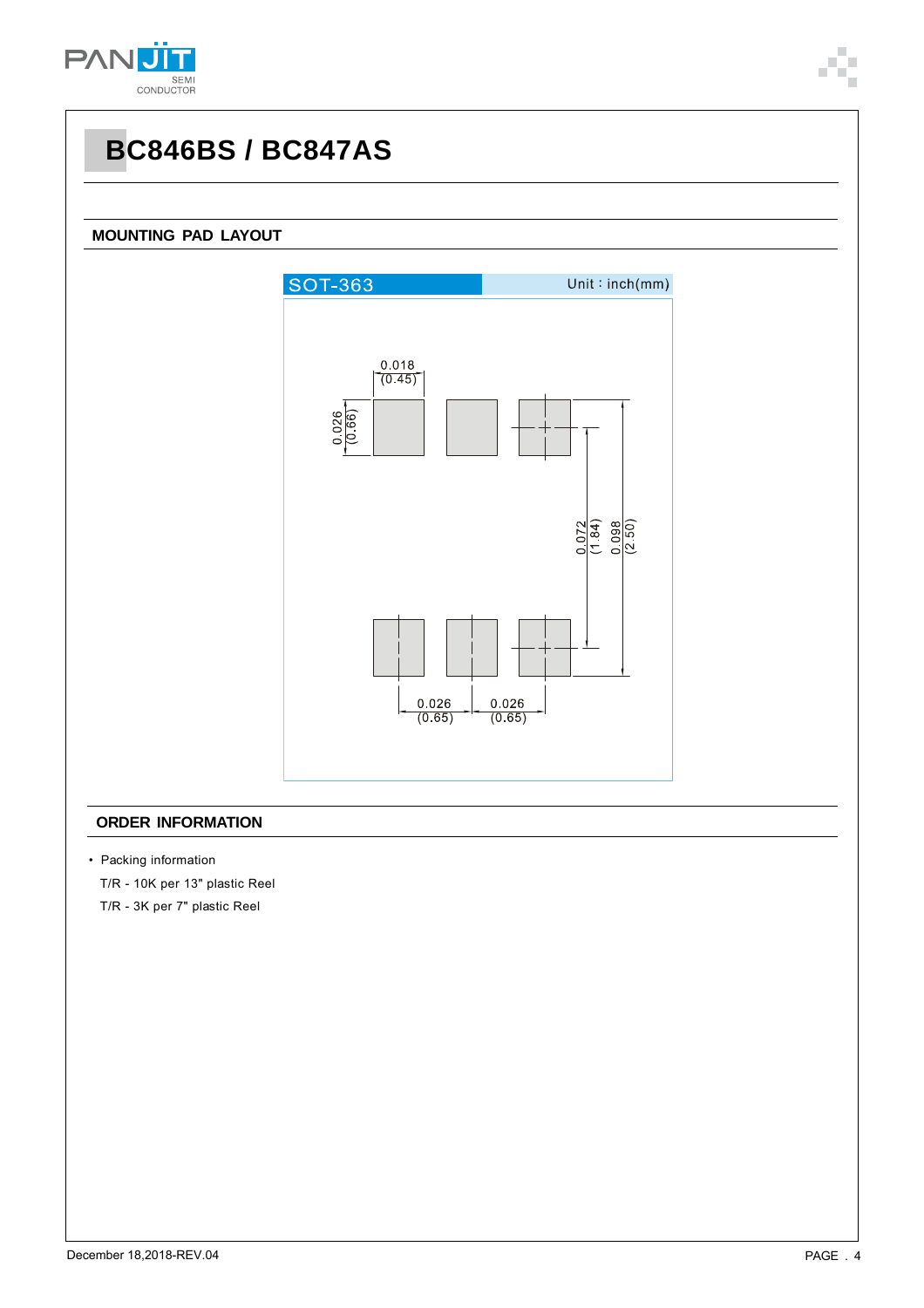

### **MOUNTING PAD LAYOUT**



#### **ORDER INFORMATION**

• Packing information

T/R - 10K per 13" plastic Reel

T/R - 3K per 7" plastic Reel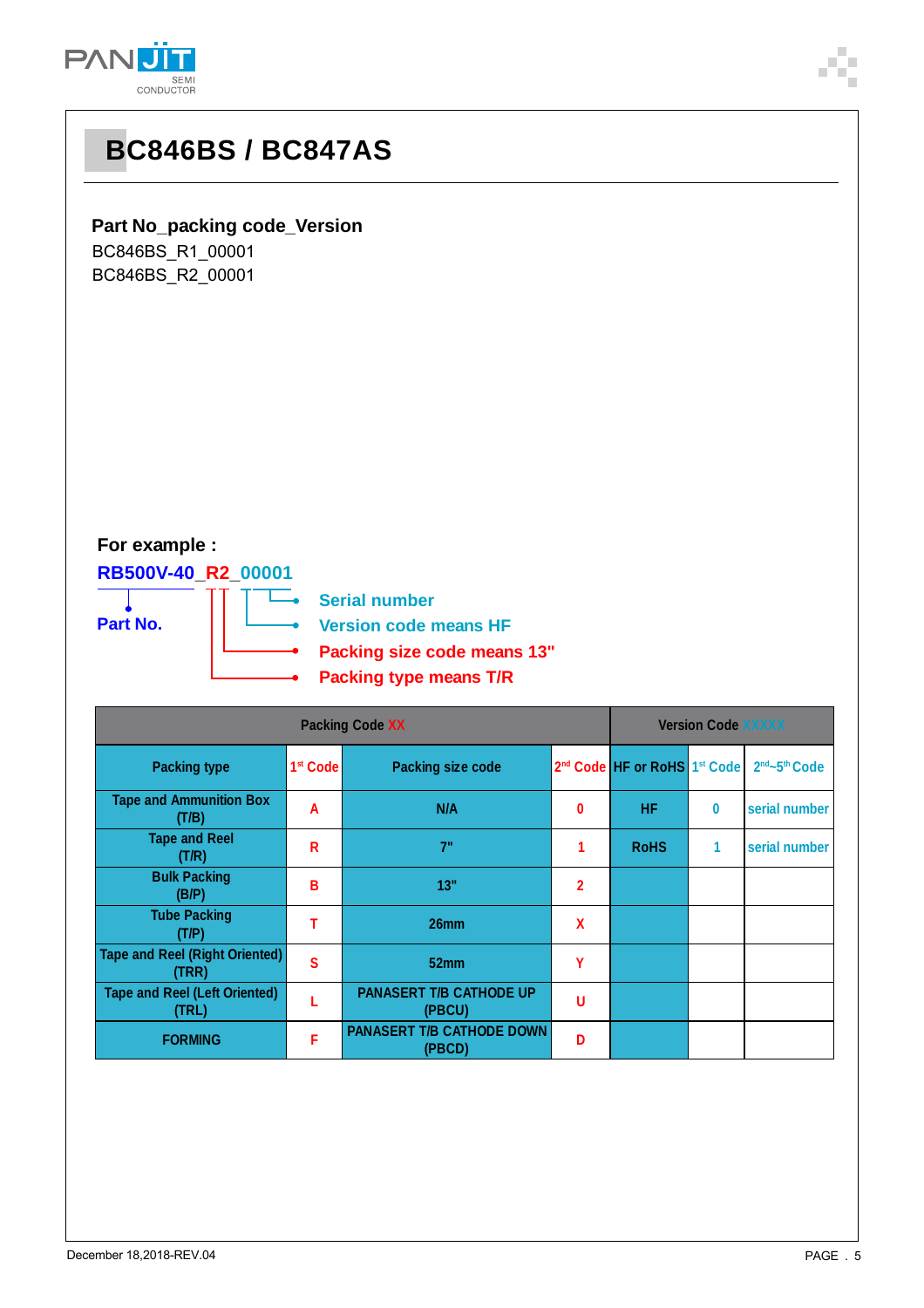

|                                                                                                                    | <b>UUNDUUTUN</b>                        |                           |                                                      |                           |                                                      |              |               |  |  |  |
|--------------------------------------------------------------------------------------------------------------------|-----------------------------------------|---------------------------|------------------------------------------------------|---------------------------|------------------------------------------------------|--------------|---------------|--|--|--|
|                                                                                                                    | <b>BC846BS/BC847AS</b>                  |                           |                                                      |                           |                                                      |              |               |  |  |  |
| <b>Part No_packing code_Version</b><br>BC846BS_R1_00001<br>BC846BS_R2_00001<br>For example :<br>RB500V-40_R2_00001 |                                         |                           |                                                      |                           |                                                      |              |               |  |  |  |
|                                                                                                                    | Part No.                                |                           | <b>Serial number</b><br><b>Version code means HF</b> |                           |                                                      |              |               |  |  |  |
|                                                                                                                    |                                         |                           | Packing size code means 13"                          |                           |                                                      |              |               |  |  |  |
|                                                                                                                    | <b>Packing type means T/R</b>           |                           |                                                      |                           |                                                      |              |               |  |  |  |
|                                                                                                                    |                                         | <b>Version Code XXXXX</b> |                                                      |                           |                                                      |              |               |  |  |  |
|                                                                                                                    | <b>Packing type</b>                     | 1 <sup>st</sup> Code      | <b>Packing size code</b>                             |                           | 2 <sup>nd</sup> Code HF or RoHS 1 <sup>st</sup> Code |              | 2nd~5th Code  |  |  |  |
|                                                                                                                    | <b>Tape and Ammunition Box</b><br>(T/B) | A                         | N/A                                                  | $\pmb{0}$                 | HF.                                                  | $\pmb{0}$    | serial number |  |  |  |
|                                                                                                                    | <b>Tape and Reel</b><br>(T/R)           | $\mathsf{R}$              | 7"                                                   | 1                         | <b>RoHS</b>                                          | $\mathbf{1}$ | serial number |  |  |  |
|                                                                                                                    | <b>Bulk Packing</b><br>(B/P)            | B                         | 13"                                                  | $\overline{2}$            |                                                      |              |               |  |  |  |
|                                                                                                                    | <b>Tube Packing</b><br>(T/P)            | T                         | 26mm                                                 | $\boldsymbol{\mathsf{X}}$ |                                                      |              |               |  |  |  |

**Tape and Reel (Right Oriented) (TRR) <sup>S</sup> 52mm <sup>Y</sup>**

**F PANASERT T/B CATHODE DOWN** 

**(TRL) <sup>L</sup> PANASERT T/B CATHODE UP**

**(PBCU) <sup>U</sup>**

**(PBCD) <sup>D</sup>**

**Tape and Reel (Left Oriented)**